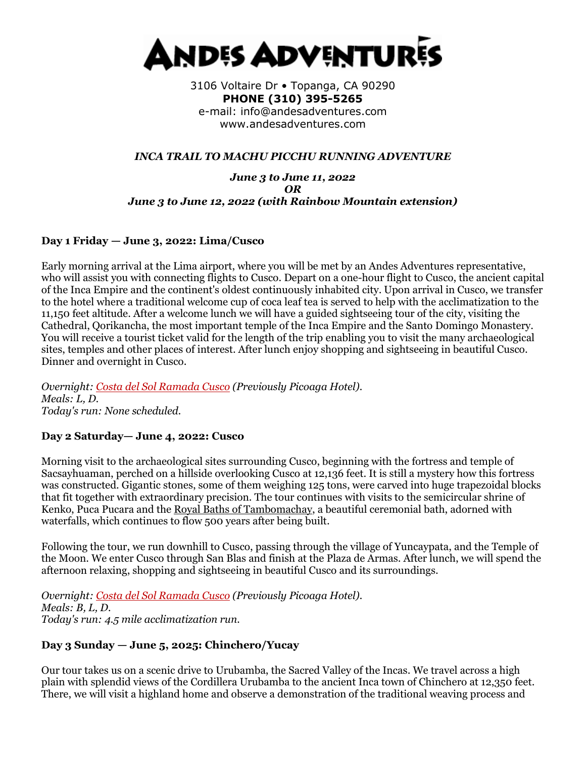

3106 Voltaire Dr • Topanga, CA 90290 **PHONE (310) 395-5265**  e-mail: info@andesadventures.com www.andesadventures.com

### *INCA TRAIL TO MACHU PICCHU RUNNING ADVENTURE*

*June 3 to June 11, 2022 OR June 3 to June 12, 2022 (with Rainbow Mountain extension)*

### **Day 1 Friday — June 3, 2022: Lima/Cusco**

Early morning arrival at the Lima airport, where you will be met by an Andes Adventures representative, who will assist you with connecting flights to Cusco. Depart on a one-hour flight to Cusco, the ancient capital of the Inca Empire and the continent's oldest continuously inhabited city. Upon arrival in Cusco, we transfer to the hotel where a traditional welcome cup of coca leaf tea is served to help with the acclimatization to the 11,150 feet altitude. After a welcome lunch we will have a guided sightseeing tour of the city, visiting the Cathedral, Qorikancha, the most important temple of the Inca Empire and the Santo Domingo Monastery. You will receive a tourist ticket valid for the length of the trip enabling you to visit the many archaeological sites, temples and other places of interest. After lunch enjoy shopping and sightseeing in beautiful Cusco. Dinner and overnight in Cusco.

*Overnight: [Costa del Sol Ramada Cusco](http://www.costadelsolperu.com/peru/hotels/cusco/) (Previously Picoaga Hotel). Meals: L, D. Today's run: None scheduled.*

# **Day 2 Saturday— June 4, 2022: Cusco**

Morning visit to the archaeological sites surrounding Cusco, beginning with the fortress and temple of Sacsayhuaman, perched on a hillside overlooking Cusco at 12,136 feet. It is still a mystery how this fortress was constructed. Gigantic stones, some of them weighing 125 tons, were carved into huge trapezoidal blocks that fit together with extraordinary precision. The tour continues with visits to the semicircular shrine of Kenko, Puca Pucara and the [Royal Baths of Tambomachay,](https://www.andesadventures.com/images/Tambomachayb.jpg) a beautiful ceremonial bath, adorned with waterfalls, which continues to flow 500 years after being built.

Following the tour, we run downhill to Cusco, passing through the village of Yuncaypata, and the Temple of the Moon. We enter Cusco through San Blas and finish at the Plaza de Armas. After lunch, we will spend the afternoon relaxing, shopping and sightseeing in beautiful Cusco and its surroundings.

*Overnight: [Costa del Sol Ramada Cusco](http://www.costadelsolperu.com/peru/hotels/cusco/) (Previously Picoaga Hotel). Meals: B, L, D. Today's run: 4.5 mile acclimatization run.*

#### **Day 3 Sunday — June 5, 2025: Chinchero/Yucay**

Our tour takes us on a scenic drive to Urubamba, the Sacred Valley of the Incas. We travel across a high plain with splendid views of the Cordillera Urubamba to the ancient Inca town of Chinchero at 12,350 feet. There, we will visit a highland home and observe a demonstration of the traditional weaving process and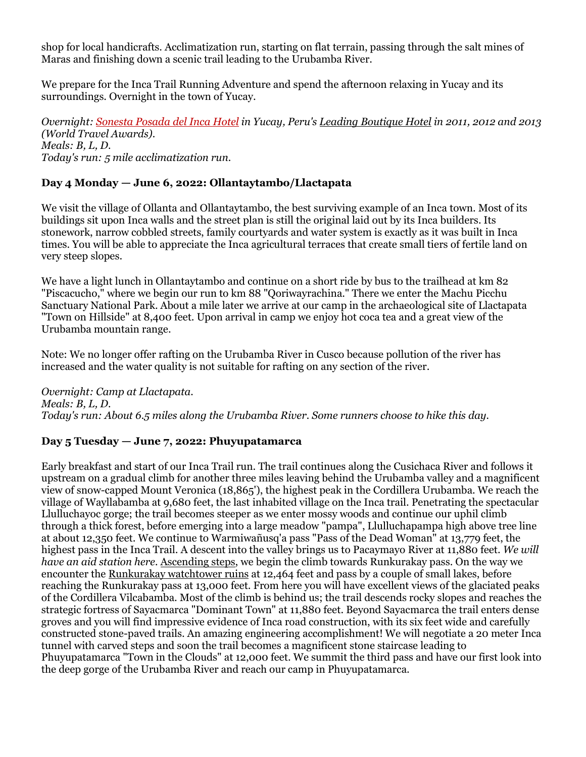shop for local handicrafts. Acclimatization run, starting on flat terrain, passing through the salt mines of Maras and finishing down a scenic trail leading to the Urubamba River.

We prepare for the Inca Trail Running Adventure and spend the afternoon relaxing in Yucay and its surroundings. Overnight in the town of Yucay.

*Overnight: [Sonesta Posada del Inca Hotel](http://www.sonesta.com/SacredValley/) in Yucay, Peru's [Leading Boutique Hotel](http://www.worldtravelawards.com/profile-5312-sonesta-posadas-del-inca-sacred-valley) in 2011, 2012 and 2013 (World Travel Awards). Meals: B, L, D. Today's run: 5 mile acclimatization run.*

# **Day 4 Monday — June 6, 2022: Ollantaytambo/Llactapata**

We visit the village of Ollanta and Ollantaytambo, the best surviving example of an Inca town. Most of its buildings sit upon Inca walls and the street plan is still the original laid out by its Inca builders. Its stonework, narrow cobbled streets, family courtyards and water system is exactly as it was built in Inca times. You will be able to appreciate the Inca agricultural terraces that create small tiers of fertile land on very steep slopes.

We have a light lunch in Ollantaytambo and continue on a short ride by bus to the trailhead at km 82 "Piscacucho," where we begin our run to km 88 "Qoriwayrachina." There we enter the Machu Picchu Sanctuary National Park. About a mile later we arrive at our camp in the archaeological site of Llactapata "Town on Hillside" at 8,400 feet. Upon arrival in camp we enjoy hot coca tea and a great view of the Urubamba mountain range.

Note: We no longer offer rafting on the Urubamba River in Cusco because pollution of the river has increased and the water quality is not suitable for rafting on any section of the river.

*Overnight: Camp at Llactapata. Meals: B, L, D. Today's run: About 6.5 miles along the Urubamba River. Some runners choose to hike this day.*

#### **Day 5 Tuesday — June 7, 2022: Phuyupatamarca**

Early breakfast and start of our Inca Trail run. The trail continues along the Cusichaca River and follows it upstream on a gradual climb for another three miles leaving behind the Urubamba valley and a magnificent view of snow-capped Mount Veronica (18,865'), the highest peak in the Cordillera Urubamba. We reach the village of Wayllabamba at 9,680 feet, the last inhabited village on the Inca trail. Penetrating the spectacular Llulluchayoc gorge; the trail becomes steeper as we enter mossy woods and continue our uphil climb through a thick forest, before emerging into a large meadow "pampa", Llulluchapampa high above tree line at about 12,350 feet. We continue to Warmiwañusq'a pass "Pass of the Dead Woman" at 13,779 feet, the highest pass in the Inca Trail. A descent into the valley brings us to Pacaymayo River at 11,880 feet. *We will have an aid station here.* [Ascending steps,](https://www.andesadventures.com/images/IncaTrailStepsb.jpg) we begin the climb towards Runkurakay pass. On the way we encounter the [Runkurakay watchtower ruins](https://www.andesadventures.com/images/RunkurakayTowerb.jpg) at 12,464 feet and pass by a couple of small lakes, before reaching the Runkurakay pass at 13,000 feet. From here you will have excellent views of the glaciated peaks of the Cordillera Vilcabamba. Most of the climb is behind us; the trail descends rocky slopes and reaches the strategic fortress of Sayacmarca "Dominant Town" at 11,880 feet. Beyond Sayacmarca the trail enters dense groves and you will find impressive evidence of Inca road construction, with its six feet wide and carefully constructed stone-paved trails. An amazing engineering accomplishment! We will negotiate a 20 meter Inca tunnel with carved steps and soon the trail becomes a magnificent stone staircase leading to Phuyupatamarca "Town in the Clouds" at 12,000 feet. We summit the third pass and have our first look into the deep gorge of the Urubamba River and reach our camp in Phuyupatamarca.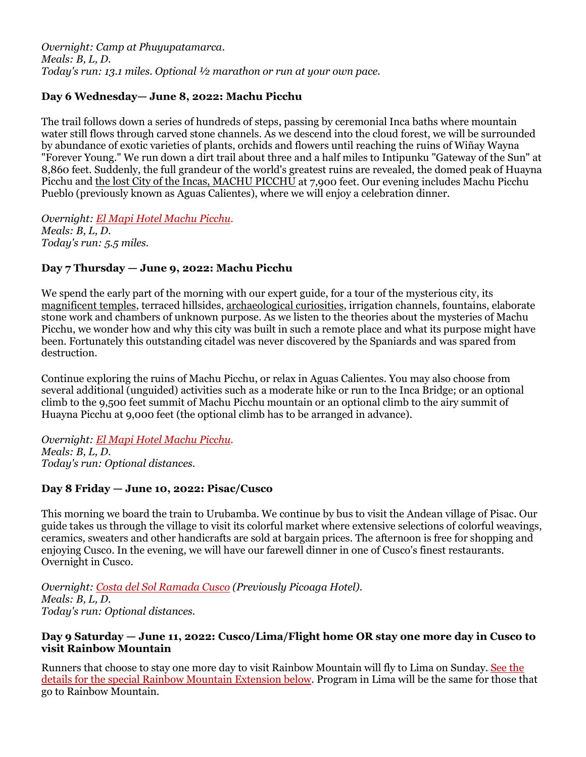*Overnight: Camp at Phuyupatamarca. Meals: B, L, D. Today's run: 13.1 miles. Optional ½ marathon or run at your own pace.*

# **Day 6 Wednesday— June 8, 2022: Machu Picchu**

The trail follows down a series of hundreds of steps, passing by ceremonial Inca baths where mountain water still flows through carved stone channels. As we descend into the cloud forest, we will be surrounded by abundance of exotic varieties of plants, orchids and flowers until reaching the ruins of Wiñay Wayna "Forever Young." We run down a dirt trail about three and a half miles to Intipunku "Gateway of the Sun" at 8,860 feet. Suddenly, the full grandeur of the world's greatest ruins are revealed, the domed peak of Huayna Picchu and [the lost City of the Incas, MACHU PICCHU](https://www.andesadventures.com/images/machupicchutrek02b.jpg) at 7,900 feet. Our evening includes Machu Picchu Pueblo (previously known as Aguas Calientes), where we will enjoy a celebration dinner.

*Overnight: [El Mapi Hotel Machu Picchu.](http://www.elmapihotel.com/) Meals: B, L, D. Today's run: 5.5 miles.*

### **Day 7 Thursday — June 9, 2022: Machu Picchu**

We spend the early part of the morning with our expert guide, for a tour of the mysterious city, its [magnificent temples,](https://www.andesadventures.com/images/TempleSunb.jpg) terraced hillsides, [archaeological curiosities,](https://www.andesadventures.com/images/ga_Intihuatanab.jpg) irrigation channels, fountains, elaborate stone work and chambers of unknown purpose. As we listen to the theories about the mysteries of Machu Picchu, we wonder how and why this city was built in such a remote place and what its purpose might have been. Fortunately this outstanding citadel was never discovered by the Spaniards and was spared from destruction.

Continue exploring the ruins of Machu Picchu, or relax in Aguas Calientes. You may also choose from several additional (unguided) activities such as a moderate hike or run to the Inca Bridge; or an optional climb to the 9,500 feet summit of Machu Picchu mountain or an optional climb to the airy summit of Huayna Picchu at 9,000 feet (the optional climb has to be arranged in advance).

*Overnight: [El Mapi Hotel Machu Picchu.](http://www.elmapihotel.com/) Meals: B, L, D. Today's run: Optional distances.*

# **Day 8 Friday — June 10, 2022: Pisac/Cusco**

This morning we board the train to Urubamba. We continue by bus to visit the Andean village of Pisac. Our guide takes us through the village to visit its colorful market where extensive selections of colorful weavings, ceramics, sweaters and other handicrafts are sold at bargain prices. The afternoon is free for shopping and enjoying Cusco. In the evening, we will have our farewell dinner in one of Cusco's finest restaurants. Overnight in Cusco.

*Overnight: [Costa del Sol Ramada Cusco](http://www.costadelsolperu.com/peru/hotels/cusco/) (Previously Picoaga Hotel). Meals: B, L, D. Today's run: Optional distances.*

#### **Day 9 Saturday — June 11, 2022: Cusco/Lima/Flight home OR stay one more day in Cusco to visit Rainbow Mountain**

Runners that choose to stay one more day to visit Rainbow Mountain will fly to Lima on Sunday. See the details for the special Rainbow Mountain Extension below. Program in Lima will be the same for those that go to Rainbow Mountain.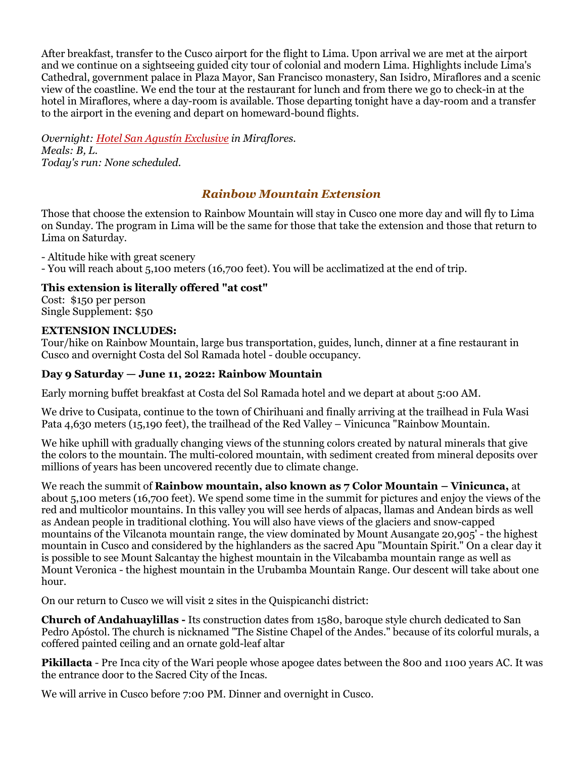After breakfast, transfer to the Cusco airport for the flight to Lima. Upon arrival we are met at the airport and we continue on a sightseeing guided city tour of colonial and modern Lima. Highlights include Lima's Cathedral, government palace in Plaza Mayor, San Francisco monastery, San Isidro, Miraflores and a scenic view of the coastline. We end the tour at the restaurant for lunch and from there we go to check-in at the hotel in Miraflores, where a day-room is available. Those departing tonight have a day-room and a transfer to the airport in the evening and depart on homeward-bound flights.

*Overnight: [Hotel San Agustín Exclusive](http://www.hotelessanagustin.com.pe/hotel_exclusive_miraflores.htm) in Miraflores. Meals: B, L. Today's run: None scheduled.*

# *Rainbow Mountain Extension*

Those that choose the extension to Rainbow Mountain will stay in Cusco one more day and will fly to Lima on Sunday. The program in Lima will be the same for those that take the extension and those that return to Lima on Saturday.

- Altitude hike with great scenery

- You will reach about 5,100 meters (16,700 feet). You will be acclimatized at the end of trip.

### **This extension is literally offered "at cost"**

Cost: \$150 per person Single Supplement: \$50

#### **EXTENSION INCLUDES:**

Tour/hike on Rainbow Mountain, large bus transportation, guides, lunch, dinner at a fine restaurant in Cusco and overnight Costa del Sol Ramada hotel - double occupancy.

#### **Day 9 Saturday — June 11, 2022: Rainbow Mountain**

Early morning buffet breakfast at Costa del Sol Ramada hotel and we depart at about 5:00 AM.

We drive to Cusipata, continue to the town of Chirihuani and finally arriving at the trailhead in Fula Wasi Pata 4,630 meters (15,190 feet), the trailhead of the Red Valley – Vinicunca "Rainbow Mountain.

We hike uphill with gradually changing views of the stunning colors created by natural minerals that give the colors to the mountain. The multi-colored mountain, with sediment created from mineral deposits over millions of years has been uncovered recently due to climate change.

We reach the summit of **Rainbow mountain, also known as 7 Color Mountain – Vinicunca,** at about 5,100 meters (16,700 feet). We spend some time in the summit for pictures and enjoy the views of the red and multicolor mountains. In this valley you will see herds of alpacas, llamas and Andean birds as well as Andean people in traditional clothing. You will also have views of the glaciers and snow-capped mountains of the Vilcanota mountain range, the view dominated by Mount Ausangate 20,905' - the highest mountain in Cusco and considered by the highlanders as the sacred Apu "Mountain Spirit." On a clear day it is possible to see Mount Salcantay the highest mountain in the Vilcabamba mountain range as well as Mount Veronica - the highest mountain in the Urubamba Mountain Range. Our descent will take about one hour.

On our return to Cusco we will visit 2 sites in the Quispicanchi district:

**Church of Andahuaylillas -** Its construction dates from 1580, baroque style church dedicated to San Pedro Apóstol. The church is nicknamed "The Sistine Chapel of the Andes." because of its colorful murals, a coffered painted ceiling and an ornate gold-leaf altar

**Pikillacta** - Pre Inca city of the Wari people whose apogee dates between the 800 and 1100 years AC. It was the entrance door to the Sacred City of the Incas.

We will arrive in Cusco before 7:00 PM. Dinner and overnight in Cusco.